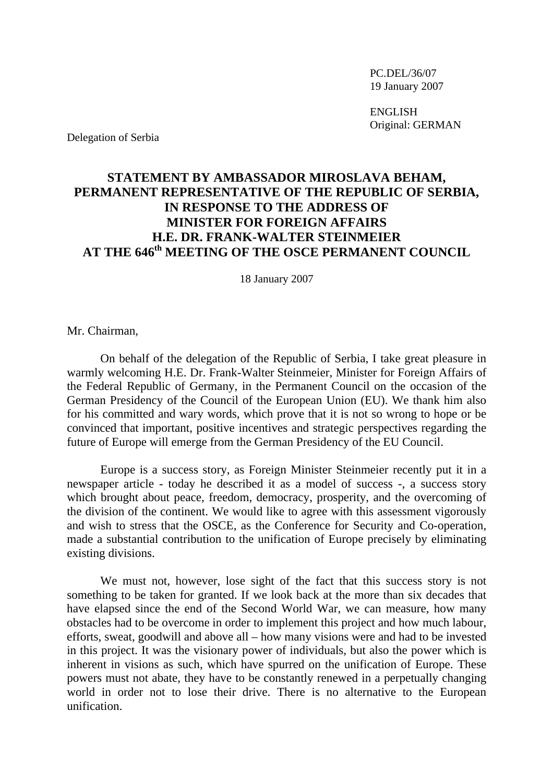PC.DEL/36/07 19 January 2007

 ENGLISH Original: GERMAN

Delegation of Serbia

## **STATEMENT BY AMBASSADOR MIROSLAVA BEHAM, PERMANENT REPRESENTATIVE OF THE REPUBLIC OF SERBIA, IN RESPONSE TO THE ADDRESS OF MINISTER FOR FOREIGN AFFAIRS H.E. DR. FRANK-WALTER STEINMEIER**  AT THE 646<sup>th</sup> MEETING OF THE OSCE PERMANENT COUNCIL

18 January 2007

Mr. Chairman,

 On behalf of the delegation of the Republic of Serbia, I take great pleasure in warmly welcoming H.E. Dr. Frank-Walter Steinmeier, Minister for Foreign Affairs of the Federal Republic of Germany, in the Permanent Council on the occasion of the German Presidency of the Council of the European Union (EU). We thank him also for his committed and wary words, which prove that it is not so wrong to hope or be convinced that important, positive incentives and strategic perspectives regarding the future of Europe will emerge from the German Presidency of the EU Council.

Europe is a success story, as Foreign Minister Steinmeier recently put it in a newspaper article - today he described it as a model of success -, a success story which brought about peace, freedom, democracy, prosperity, and the overcoming of the division of the continent. We would like to agree with this assessment vigorously and wish to stress that the OSCE, as the Conference for Security and Co-operation, made a substantial contribution to the unification of Europe precisely by eliminating existing divisions.

 We must not, however, lose sight of the fact that this success story is not something to be taken for granted. If we look back at the more than six decades that have elapsed since the end of the Second World War, we can measure, how many obstacles had to be overcome in order to implement this project and how much labour, efforts, sweat, goodwill and above all – how many visions were and had to be invested in this project. It was the visionary power of individuals, but also the power which is inherent in visions as such, which have spurred on the unification of Europe. These powers must not abate, they have to be constantly renewed in a perpetually changing world in order not to lose their drive. There is no alternative to the European unification.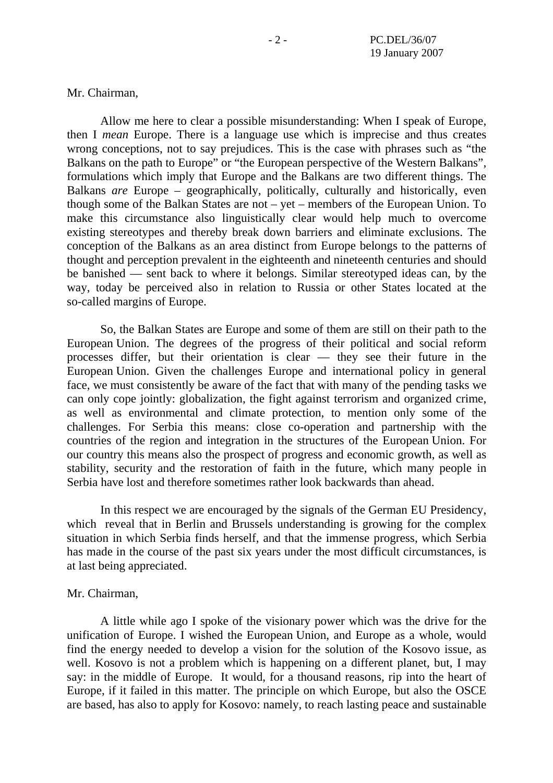Mr. Chairman,

 Allow me here to clear a possible misunderstanding: When I speak of Europe, then I *mean* Europe. There is a language use which is imprecise and thus creates wrong conceptions, not to say prejudices. This is the case with phrases such as "the Balkans on the path to Europe" or "the European perspective of the Western Balkans", formulations which imply that Europe and the Balkans are two different things. The Balkans *are* Europe – geographically, politically, culturally and historically, even though some of the Balkan States are not – yet – members of the European Union. To make this circumstance also linguistically clear would help much to overcome existing stereotypes and thereby break down barriers and eliminate exclusions. The conception of the Balkans as an area distinct from Europe belongs to the patterns of thought and perception prevalent in the eighteenth and nineteenth centuries and should be banished — sent back to where it belongs. Similar stereotyped ideas can, by the way, today be perceived also in relation to Russia or other States located at the so-called margins of Europe.

 So, the Balkan States are Europe and some of them are still on their path to the European Union. The degrees of the progress of their political and social reform processes differ, but their orientation is clear — they see their future in the European Union. Given the challenges Europe and international policy in general face, we must consistently be aware of the fact that with many of the pending tasks we can only cope jointly: globalization, the fight against terrorism and organized crime, as well as environmental and climate protection, to mention only some of the challenges. For Serbia this means: close co-operation and partnership with the countries of the region and integration in the structures of the European Union. For our country this means also the prospect of progress and economic growth, as well as stability, security and the restoration of faith in the future, which many people in Serbia have lost and therefore sometimes rather look backwards than ahead.

 In this respect we are encouraged by the signals of the German EU Presidency, which reveal that in Berlin and Brussels understanding is growing for the complex situation in which Serbia finds herself, and that the immense progress, which Serbia has made in the course of the past six years under the most difficult circumstances, is at last being appreciated.

Mr. Chairman,

 A little while ago I spoke of the visionary power which was the drive for the unification of Europe. I wished the European Union, and Europe as a whole, would find the energy needed to develop a vision for the solution of the Kosovo issue, as well. Kosovo is not a problem which is happening on a different planet, but, I may say: in the middle of Europe. It would, for a thousand reasons, rip into the heart of Europe, if it failed in this matter. The principle on which Europe, but also the OSCE are based, has also to apply for Kosovo: namely, to reach lasting peace and sustainable